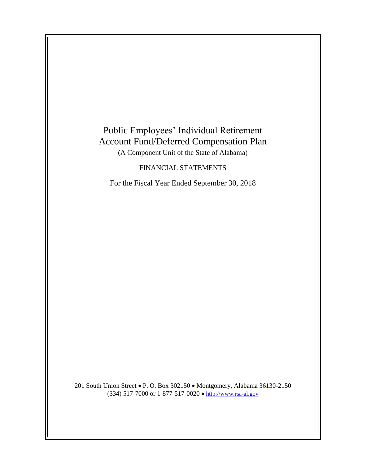

201 South Union Street • P. O. Box 302150 • Montgomery, Alabama 36130-2150 (334) 517-7000 or 1-877-517-0020  $\bullet$  [http://www.rsa-al.gov](http://www.rsa.state.al.us/)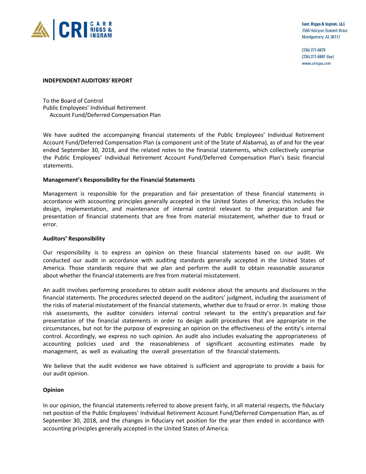

Carr, Riggs & Ingram, LLC 7550 Halcyon Summit Drive Montgomery, AL 36117

 $(334)$  271-6678 (334) 271-6697 (fax) www.cricpa.com

#### **INDEPENDENT AUDITORS' REPORT**

To the Board of Control Public Employees' Individual Retirement Account Fund/Deferred Compensation Plan

We have audited the accompanying financial statements of the Public Employees' Individual Retirement Account Fund/Deferred Compensation Plan (a component unit of the State of Alabama), as of and for the year ended September 30, 2018, and the related notes to the financial statements, which collectively comprise the Public Employees' Individual Retirement Account Fund/Deferred Compensation Plan's basic financial statements.

#### **Management's Responsibility for the Financial Statements**

Management is responsible for the preparation and fair presentation of these financial statements in accordance with accounting principles generally accepted in the United States of America; this includes the design, implementation, and maintenance of internal control relevant to the preparation and fair presentation of financial statements that are free from material misstatement, whether due to fraud or error.

#### **Auditors' Responsibility**

Our responsibility is to express an opinion on these financial statements based on our audit. We conducted our audit in accordance with auditing standards generally accepted in the United States of America. Those standards require that we plan and perform the audit to obtain reasonable assurance about whether the financial statements are free from material misstatement.

An audit involves performing procedures to obtain audit evidence about the amounts and disclosures in the financial statements. The procedures selected depend on the auditors' judgment, including the assessment of the risks of material misstatement of the financial statements, whether due to fraud or error. In making those risk assessments, the auditor considers internal control relevant to the entity's preparation and fair presentation of the financial statements in order to design audit procedures that are appropriate in the circumstances, but not for the purpose of expressing an opinion on the effectiveness of the entity's internal control. Accordingly, we express no such opinion. An audit also includes evaluating the appropriateness of accounting policies used and the reasonableness of significant accounting estimates made by management, as well as evaluating the overall presentation of the financial statements.

We believe that the audit evidence we have obtained is sufficient and appropriate to provide a basis for our audit opinion.

#### **Opinion**

In our opinion, the financial statements referred to above present fairly, in all material respects, the fiduciary net position of the Public Employees' Individual Retirement Account Fund/Deferred Compensation Plan, as of September 30, 2018, and the changes in fiduciary net position for the year then ended in accordance with accounting principles generally accepted in the United States of America.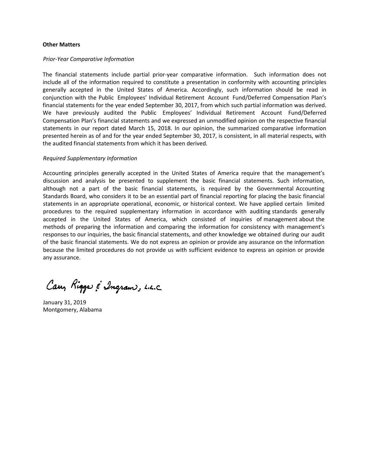#### **Other Matters**

#### *Prior-Year Comparative Information*

The financial statements include partial prior-year comparative information. Such information does not include all of the information required to constitute a presentation in conformity with accounting principles generally accepted in the United States of America. Accordingly, such information should be read in conjunction with the Public Employees' Individual Retirement Account Fund/Deferred Compensation Plan's financial statements for the year ended September 30, 2017, from which such partial information was derived. We have previously audited the Public Employees' Individual Retirement Account Fund/Deferred Compensation Plan's financial statements and we expressed an unmodified opinion on the respective financial statements in our report dated March 15, 2018. In our opinion, the summarized comparative information presented herein as of and for the year ended September 30, 2017, is consistent, in all material respects, with the audited financial statements from which it has been derived.

#### *Required Supplementary Information*

Accounting principles generally accepted in the United States of America require that the management's discussion and analysis be presented to supplement the basic financial statements. Such information, although not a part of the basic financial statements, is required by the Governmental Accounting Standards Board, who considers it to be an essential part of financial reporting for placing the basic financial statements in an appropriate operational, economic, or historical context. We have applied certain limited procedures to the required supplementary information in accordance with auditing standards generally accepted in the United States of America, which consisted of inquiries of management about the methods of preparing the information and comparing the information for consistency with management's responses to our inquiries, the basic financial statements, and other knowledge we obtained during our audit of the basic financial statements. We do not express an opinion or provide any assurance on the information because the limited procedures do not provide us with sufficient evidence to express an opinion or provide any assurance.

Cary Riggs & Ingram, L.L.C

January 31, 2019 Montgomery, Alabama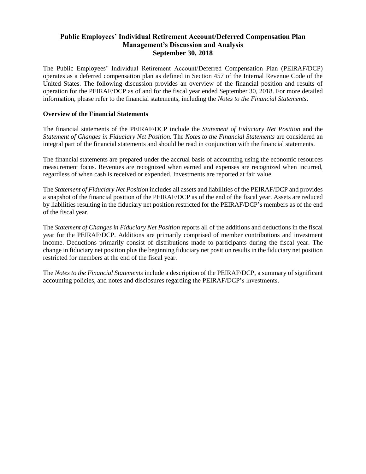## **Public Employees' Individual Retirement Account/Deferred Compensation Plan Management's Discussion and Analysis September 30, 2018**

The Public Employees' Individual Retirement Account/Deferred Compensation Plan (PEIRAF/DCP) operates as a deferred compensation plan as defined in Section 457 of the Internal Revenue Code of the United States. The following discussion provides an overview of the financial position and results of operation for the PEIRAF/DCP as of and for the fiscal year ended September 30, 2018. For more detailed information, please refer to the financial statements, including the *Notes to the Financial Statements*.

#### **Overview of the Financial Statements**

The financial statements of the PEIRAF/DCP include the *Statement of Fiduciary Net Position* and the *Statement of Changes in Fiduciary Net Position*. The *Notes to the Financial Statements* are considered an integral part of the financial statements and should be read in conjunction with the financial statements.

The financial statements are prepared under the accrual basis of accounting using the economic resources measurement focus. Revenues are recognized when earned and expenses are recognized when incurred, regardless of when cash is received or expended. Investments are reported at fair value.

The *Statement of Fiduciary Net Position* includes all assets and liabilities of the PEIRAF/DCP and provides a snapshot of the financial position of the PEIRAF/DCP as of the end of the fiscal year. Assets are reduced by liabilities resulting in the fiduciary net position restricted for the PEIRAF/DCP's members as of the end of the fiscal year.

The *Statement of Changes in Fiduciary Net Position* reports all of the additions and deductions in the fiscal year for the PEIRAF/DCP. Additions are primarily comprised of member contributions and investment income. Deductions primarily consist of distributions made to participants during the fiscal year. The change in fiduciary net position plus the beginning fiduciary net position results in the fiduciary net position restricted for members at the end of the fiscal year.

The *Notes to the Financial Statements* include a description of the PEIRAF/DCP, a summary of significant accounting policies, and notes and disclosures regarding the PEIRAF/DCP's investments.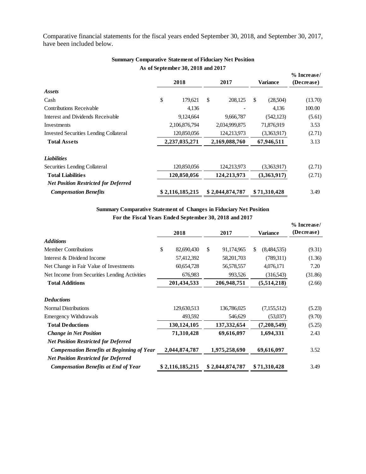Comparative financial statements for the fiscal years ended September 30, 2018, and September 30, 2017, have been included below.

|                                               |                 | 2018        | 2017        |                                 | <b>Variance</b> |             | % Increase/<br>(Decrease) |  |
|-----------------------------------------------|-----------------|-------------|-------------|---------------------------------|-----------------|-------------|---------------------------|--|
| Assets                                        |                 |             |             |                                 |                 |             |                           |  |
| Cash                                          | \$              | 179,621     | \$          | 208,125                         | \$              | (28,504)    | (13.70)                   |  |
| <b>Contributions Receivable</b>               |                 | 4,136       |             |                                 |                 | 4,136       | 100.00                    |  |
| Interest and Dividends Receivable             | 9,124,664       |             |             | 9,666,787                       |                 | (542, 123)  | (5.61)                    |  |
| Investments                                   | 2,106,876,794   |             |             | 2,034,999,875                   |                 | 71,876,919  | 3.53                      |  |
| <b>Invested Securities Lending Collateral</b> |                 | 120,850,056 |             | 124,213,973                     |                 | (3,363,917) | (2.71)                    |  |
| <b>Total Assets</b>                           | 2,237,035,271   |             |             | 2,169,088,760                   |                 | 67,946,511  | 3.13                      |  |
| <b>Liabilities</b>                            |                 |             |             |                                 |                 |             |                           |  |
| Securities Lending Collateral                 |                 | 120,850,056 |             | 124,213,973                     |                 | (3,363,917) | (2.71)                    |  |
| <b>Total Liabilities</b>                      | 120,850,056     |             | 124,213,973 |                                 | (3,363,917)     |             | (2.71)                    |  |
| <b>Net Position Restricted for Deferred</b>   |                 |             |             |                                 |                 |             |                           |  |
| <b>Compensation Benefits</b>                  | \$2,116,185,215 |             |             | \$2,044,874,787<br>\$71,310,428 |                 |             | 3.49                      |  |
|                                               |                 |             |             |                                 |                 |             |                           |  |

## **As of September 30, 2018 and 2017 Summary Comparative Statement of Fiduciary Net Position**

**For the Fiscal Years Ended September 30, 2018 and 2017 Summary Comparative Statement of Changes in Fiduciary Net Position**

|                                               |      |                 |                  |     |                 | % Increase/ |  |
|-----------------------------------------------|------|-----------------|------------------|-----|-----------------|-------------|--|
|                                               | 2018 |                 | 2017             |     | <b>Variance</b> | (Decrease)  |  |
| <b>Additions</b>                              |      |                 |                  |     |                 |             |  |
| <b>Member Contributions</b>                   | \$   | 82,690,430      | \$<br>91,174,965 | \$. | (8,484,535)     | (9.31)      |  |
| Interest & Dividend Income                    |      | 57,412,392      | 58,201,703       |     | (789,311)       | (1.36)      |  |
| Net Change in Fair Value of Investments       |      | 60,654,728      | 56,578,557       |     | 4,076,171       | 7.20        |  |
| Net Income from Securities Lending Activities |      | 676,983         | 993,526          |     | (316,543)       | (31.86)     |  |
| <b>Total Additions</b>                        |      | 201,434,533     | 206,948,751      |     | (5,514,218)     | (2.66)      |  |
| <b>Deductions</b>                             |      |                 |                  |     |                 |             |  |
| <b>Normal Distributions</b>                   |      | 129,630,513     | 136,786,025      |     | (7,155,512)     | (5.23)      |  |
| <b>Emergency Withdrawals</b>                  |      | 493,592         | 546,629          |     | (53,037)        | (9.70)      |  |
| <b>Total Deductions</b>                       |      | 130,124,105     | 137, 332, 654    |     | (7,208,549)     | (5.25)      |  |
| <b>Change in Net Position</b>                 |      | 71,310,428      | 69,616,097       |     | 1,694,331       | 2.43        |  |
| <b>Net Position Restricted for Deferred</b>   |      |                 |                  |     |                 |             |  |
| Compensation Benefits at Beginning of Year    |      | 2,044,874,787   | 1,975,258,690    |     | 69,616,097      | 3.52        |  |
| <b>Net Position Restricted for Deferred</b>   |      |                 |                  |     |                 |             |  |
| <b>Compensation Benefits at End of Year</b>   |      | \$2,116,185,215 | \$2,044,874,787  |     | \$71,310,428    | 3.49        |  |
|                                               |      |                 |                  |     |                 |             |  |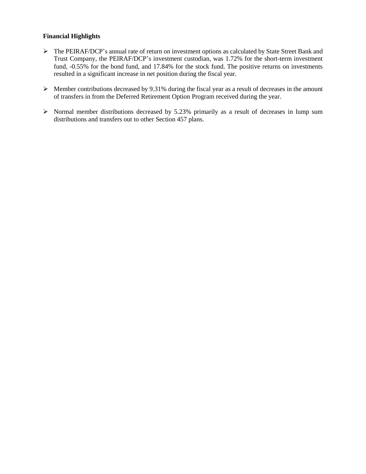## **Financial Highlights**

- The PEIRAF/DCP's annual rate of return on investment options as calculated by State Street Bank and Trust Company, the PEIRAF/DCP's investment custodian, was 1.72% for the short-term investment fund, -0.55% for the bond fund, and 17.84% for the stock fund. The positive returns on investments resulted in a significant increase in net position during the fiscal year.
- $\triangleright$  Member contributions decreased by 9.31% during the fiscal year as a result of decreases in the amount of transfers in from the Deferred Retirement Option Program received during the year.
- $\triangleright$  Normal member distributions decreased by 5.23% primarily as a result of decreases in lump sum distributions and transfers out to other Section 457 plans.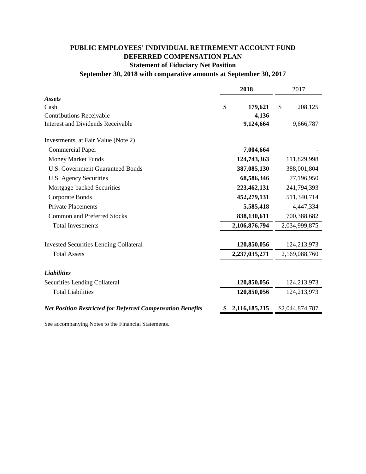# **PUBLIC EMPLOYEES' INDIVIDUAL RETIREMENT ACCOUNT FUND DEFERRED COMPENSATION PLAN Statement of Fiduciary Net Position**

# **September 30, 2018 with comparative amounts at September 30, 2017**

|                                                                   | 2018          | 2017            |
|-------------------------------------------------------------------|---------------|-----------------|
| <b>Assets</b>                                                     |               |                 |
| Cash                                                              | \$<br>179,621 | \$<br>208,125   |
| <b>Contributions Receivable</b>                                   | 4,136         |                 |
| <b>Interest and Dividends Receivable</b>                          | 9,124,664     | 9,666,787       |
| Investments, at Fair Value (Note 2)                               |               |                 |
| <b>Commercial Paper</b>                                           | 7,004,664     |                 |
| <b>Money Market Funds</b>                                         | 124,743,363   | 111,829,998     |
| <b>U.S. Government Guaranteed Bonds</b>                           | 387,085,130   | 388,001,804     |
| U.S. Agency Securities                                            | 68,586,346    | 77,196,950      |
| Mortgage-backed Securities                                        | 223,462,131   | 241,794,393     |
| Corporate Bonds                                                   | 452,279,131   | 511,340,714     |
| <b>Private Placements</b>                                         | 5,585,418     | 4,447,334       |
| <b>Common and Preferred Stocks</b>                                | 838,130,611   | 700,388,682     |
| <b>Total Investments</b>                                          | 2,106,876,794 | 2,034,999,875   |
| <b>Invested Securities Lending Collateral</b>                     | 120,850,056   | 124,213,973     |
| <b>Total Assets</b>                                               | 2,237,035,271 | 2,169,088,760   |
| <b>Liabilities</b>                                                |               |                 |
| Securities Lending Collateral                                     | 120,850,056   | 124,213,973     |
| <b>Total Liabilities</b>                                          | 120,850,056   | 124,213,973     |
| <b>Net Position Restricted for Deferred Compensation Benefits</b> | 2,116,185,215 | \$2,044,874,787 |
|                                                                   |               |                 |

See accompanying Notes to the Financial Statements.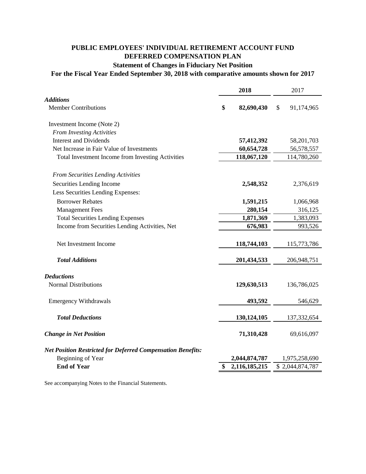# **PUBLIC EMPLOYEES' INDIVIDUAL RETIREMENT ACCOUNT FUND DEFERRED COMPENSATION PLAN**

# **Statement of Changes in Fiduciary Net Position**

# **For the Fiscal Year Ended September 30, 2018 with comparative amounts shown for 2017**

|                                                                    | 2018             |   | 2017            |
|--------------------------------------------------------------------|------------------|---|-----------------|
| <b>Additions</b>                                                   |                  |   |                 |
| <b>Member Contributions</b>                                        | \$<br>82,690,430 | S | 91,174,965      |
| Investment Income (Note 2)                                         |                  |   |                 |
| <b>From Investing Activities</b>                                   |                  |   |                 |
| <b>Interest and Dividends</b>                                      | 57,412,392       |   | 58,201,703      |
| Net Increase in Fair Value of Investments                          | 60,654,728       |   | 56,578,557      |
| Total Investment Income from Investing Activities                  | 118,067,120      |   | 114,780,260     |
| <b>From Securities Lending Activities</b>                          |                  |   |                 |
| Securities Lending Income                                          | 2,548,352        |   | 2,376,619       |
| Less Securities Lending Expenses:                                  |                  |   |                 |
| <b>Borrower Rebates</b>                                            | 1,591,215        |   | 1,066,968       |
| <b>Management Fees</b>                                             | 280,154          |   | 316,125         |
| <b>Total Securities Lending Expenses</b>                           | 1,871,369        |   | 1,383,093       |
| Income from Securities Lending Activities, Net                     | 676,983          |   | 993,526         |
|                                                                    |                  |   |                 |
| Net Investment Income                                              | 118,744,103      |   | 115,773,786     |
| <b>Total Additions</b>                                             | 201,434,533      |   | 206,948,751     |
| <b>Deductions</b>                                                  |                  |   |                 |
| <b>Normal Distributions</b>                                        | 129,630,513      |   | 136,786,025     |
| <b>Emergency Withdrawals</b>                                       | 493,592          |   | 546,629         |
| <b>Total Deductions</b>                                            | 130,124,105      |   | 137,332,654     |
|                                                                    |                  |   |                 |
| <b>Change in Net Position</b>                                      | 71,310,428       |   | 69,616,097      |
| <b>Net Position Restricted for Deferred Compensation Benefits:</b> |                  |   |                 |
| <b>Beginning of Year</b>                                           | 2,044,874,787    |   | 1,975,258,690   |
| <b>End of Year</b>                                                 | 2,116,185,215    |   | \$2,044,874,787 |
|                                                                    |                  |   |                 |

See accompanying Notes to the Financial Statements.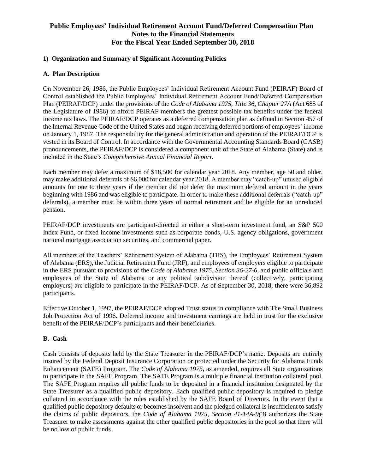## **1) Organization and Summary of Significant Accounting Policies**

### **A. Plan Description**

On November 26, 1986, the Public Employees' Individual Retirement Account Fund (PEIRAF) Board of Control established the Public Employees' Individual Retirement Account Fund/Deferred Compensation Plan (PEIRAF/DCP) under the provisions of the *Code of Alabama 1975, Title 36, Chapter 27A* (Act 685 of the Legislature of 1986) to afford PEIRAF members the greatest possible tax benefits under the federal income tax laws. The PEIRAF/DCP operates as a deferred compensation plan as defined in Section 457 of the Internal Revenue Code of the United States and began receiving deferred portions of employees' income on January 1, 1987. The responsibility for the general administration and operation of the PEIRAF/DCP is vested in its Board of Control. In accordance with the Governmental Accounting Standards Board (GASB) pronouncements, the PEIRAF/DCP is considered a component unit of the State of Alabama (State) and is included in the State's *Comprehensive Annual Financial Report*.

Each member may defer a maximum of \$18,500 for calendar year 2018. Any member, age 50 and older, may make additional deferrals of \$6,000 for calendar year 2018. A member may "catch-up" unused eligible amounts for one to three years if the member did not defer the maximum deferral amount in the years beginning with 1986 and was eligible to participate. In order to make these additional deferrals ("catch-up" deferrals), a member must be within three years of normal retirement and be eligible for an unreduced pension.

PEIRAF/DCP investments are participant-directed in either a short-term investment fund, an S&P 500 Index Fund, or fixed income investments such as corporate bonds, U.S. agency obligations, government national mortgage association securities, and commercial paper.

All members of the Teachers' Retirement System of Alabama (TRS), the Employees' Retirement System of Alabama (ERS), the Judicial Retirement Fund (JRF), and employees of employers eligible to participate in the ERS pursuant to provisions of the *Code of Alabama 1975, Section 36-27-6*, and public officials and employees of the State of Alabama or any political subdivision thereof (collectively, participating employers) are eligible to participate in the PEIRAF/DCP. As of September 30, 2018, there were 36,892 participants.

Effective October 1, 1997, the PEIRAF/DCP adopted Trust status in compliance with The Small Business Job Protection Act of 1996. Deferred income and investment earnings are held in trust for the exclusive benefit of the PEIRAF/DCP's participants and their beneficiaries.

#### **B. Cash**

Cash consists of deposits held by the State Treasurer in the PEIRAF/DCP's name. Deposits are entirely insured by the Federal Deposit Insurance Corporation or protected under the Security for Alabama Funds Enhancement (SAFE) Program. The *Code of Alabama 1975,* as amended, requires all State organizations to participate in the SAFE Program. The SAFE Program is a multiple financial institution collateral pool. The SAFE Program requires all public funds to be deposited in a financial institution designated by the State Treasurer as a qualified public depository. Each qualified public depository is required to pledge collateral in accordance with the rules established by the SAFE Board of Directors. In the event that a qualified public depository defaults or becomes insolvent and the pledged collateral is insufficient to satisfy the claims of public depositors, the *Code of Alabama 1975, Section 41-14A-9(3)* authorizes the State Treasurer to make assessments against the other qualified public depositories in the pool so that there will be no loss of public funds.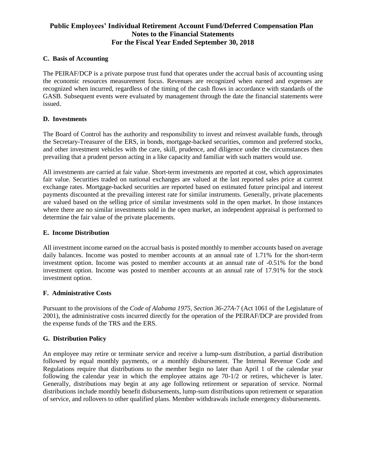#### **C. Basis of Accounting**

The PEIRAF/DCP is a private purpose trust fund that operates under the accrual basis of accounting using the economic resources measurement focus. Revenues are recognized when earned and expenses are recognized when incurred, regardless of the timing of the cash flows in accordance with standards of the GASB. Subsequent events were evaluated by management through the date the financial statements were issued.

### **D. Investments**

The Board of Control has the authority and responsibility to invest and reinvest available funds, through the Secretary-Treasurer of the ERS, in bonds, mortgage-backed securities, common and preferred stocks, and other investment vehicles with the care, skill, prudence, and diligence under the circumstances then prevailing that a prudent person acting in a like capacity and familiar with such matters would use.

All investments are carried at fair value. Short-term investments are reported at cost, which approximates fair value. Securities traded on national exchanges are valued at the last reported sales price at current exchange rates. Mortgage-backed securities are reported based on estimated future principal and interest payments discounted at the prevailing interest rate for similar instruments. Generally, private placements are valued based on the selling price of similar investments sold in the open market. In those instances where there are no similar investments sold in the open market, an independent appraisal is performed to determine the fair value of the private placements.

### **E. Income Distribution**

All investment income earned on the accrual basis is posted monthly to member accounts based on average daily balances. Income was posted to member accounts at an annual rate of 1.71% for the short-term investment option. Income was posted to member accounts at an annual rate of -0.51% for the bond investment option. Income was posted to member accounts at an annual rate of 17.91% for the stock investment option.

## **F. Administrative Costs**

Pursuant to the provisions of the *Code of Alabama 1975, Section 36-27A-*7 (Act 1061 of the Legislature of 2001), the administrative costs incurred directly for the operation of the PEIRAF/DCP are provided from the expense funds of the TRS and the ERS.

#### **G. Distribution Policy**

An employee may retire or terminate service and receive a lump-sum distribution, a partial distribution followed by equal monthly payments, or a monthly disbursement. The Internal Revenue Code and Regulations require that distributions to the member begin no later than April 1 of the calendar year following the calendar year in which the employee attains age 70-1/2 or retires, whichever is later. Generally, distributions may begin at any age following retirement or separation of service. Normal distributions include monthly benefit disbursements, lump-sum distributions upon retirement or separation of service, and rollovers to other qualified plans. Member withdrawals include emergency disbursements.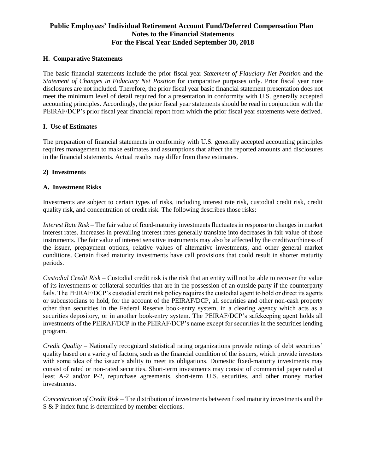#### **H. Comparative Statements**

The basic financial statements include the prior fiscal year *Statement of Fiduciary Net Position* and the *Statement of Changes in Fiduciary Net Position* for comparative purposes only. Prior fiscal year note disclosures are not included. Therefore, the prior fiscal year basic financial statement presentation does not meet the minimum level of detail required for a presentation in conformity with U.S. generally accepted accounting principles. Accordingly, the prior fiscal year statements should be read in conjunction with the PEIRAF/DCP's prior fiscal year financial report from which the prior fiscal year statements were derived.

### **I. Use of Estimates**

The preparation of financial statements in conformity with U.S. generally accepted accounting principles requires management to make estimates and assumptions that affect the reported amounts and disclosures in the financial statements. Actual results may differ from these estimates.

### **2) Investments**

### **A. Investment Risks**

Investments are subject to certain types of risks, including interest rate risk, custodial credit risk, credit quality risk, and concentration of credit risk. The following describes those risks:

*Interest Rate Risk* – The fair value of fixed-maturity investments fluctuates in response to changes in market interest rates. Increases in prevailing interest rates generally translate into decreases in fair value of those instruments. The fair value of interest sensitive instruments may also be affected by the creditworthiness of the issuer, prepayment options, relative values of alternative investments, and other general market conditions. Certain fixed maturity investments have call provisions that could result in shorter maturity periods.

*Custodial Credit Risk* – Custodial credit risk is the risk that an entity will not be able to recover the value of its investments or collateral securities that are in the possession of an outside party if the counterparty fails. The PEIRAF/DCP's custodial credit risk policy requires the custodial agent to hold or direct its agents or subcustodians to hold, for the account of the PEIRAF/DCP, all securities and other non-cash property other than securities in the Federal Reserve book-entry system, in a clearing agency which acts as a securities depository, or in another book-entry system. The PEIRAF/DCP's safekeeping agent holds all investments of the PEIRAF/DCP in the PEIRAF/DCP's name except for securities in the securities lending program.

*Credit Quality* – Nationally recognized statistical rating organizations provide ratings of debt securities' quality based on a variety of factors, such as the financial condition of the issuers, which provide investors with some idea of the issuer's ability to meet its obligations. Domestic fixed-maturity investments may consist of rated or non-rated securities. Short-term investments may consist of commercial paper rated at least A-2 and/or P-2, repurchase agreements, short-term U.S. securities, and other money market investments.

*Concentration of Credit Risk* – The distribution of investments between fixed maturity investments and the S & P index fund is determined by member elections.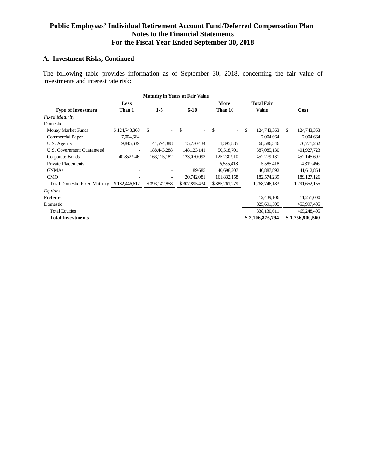## **A. Investment Risks, Continued**

The following table provides information as of September 30, 2018, concerning the fair value of investments and interest rate risk:

|                                      | <b>Maturity in Years at Fair Value</b> |               |               |               |                   |                    |
|--------------------------------------|----------------------------------------|---------------|---------------|---------------|-------------------|--------------------|
|                                      | Less                                   |               |               | More          | <b>Total Fair</b> |                    |
| <b>Type of Investment</b>            | Than 1                                 | $1-5$         | $6 - 10$      | Than 10       | <b>Value</b>      | Cost               |
| <b>Fixed Maturity</b>                |                                        |               |               |               |                   |                    |
| Domestic                             |                                        |               |               |               |                   |                    |
| Money Market Funds                   | \$124,743,363                          | \$            | \$            | \$            | \$<br>124,743,363 | \$.<br>124,743,363 |
| Commercial Paper                     | 7,004,664                              |               |               |               | 7,004,664         | 7,004,664          |
| U.S. Agency                          | 9,845,639                              | 41,574,388    | 15,770,434    | 1,395,885     | 68,586,346        | 70,771,262         |
| U.S. Government Guaranteed           |                                        | 188,443,288   | 148, 123, 141 | 50,518,701    | 387,085,130       | 401,927,723        |
| Corporate Bonds                      | 40,852,946                             | 163, 125, 182 | 123,070,093   | 125,230,910   | 452,279,131       | 452,145,697        |
| <b>Private Placements</b>            |                                        |               |               | 5,585,418     | 5,585,418         | 4,319,456          |
| <b>GNMAs</b>                         |                                        |               | 189,685       | 40,698,207    | 40,887,892        | 41,612,864         |
| <b>CMO</b>                           |                                        |               | 20,742,081    | 161,832,158   | 182,574,239       | 189, 127, 126      |
| <b>Total Domestic Fixed Maturity</b> | \$182,446,612                          | \$393,142,858 | \$307,895,434 | \$385,261,279 | 1,268,746,183     | 1,291,652,155      |
| Equities                             |                                        |               |               |               |                   |                    |
| Preferred                            |                                        |               |               |               | 12,439,106        | 11,251,000         |
| Domestic                             |                                        |               |               |               | 825,691,505       | 453,997,405        |
| <b>Total Equities</b>                |                                        |               |               |               | 838,130,611       | 465,248,405        |
| <b>Total Investments</b>             |                                        |               |               |               | \$2,106,876,794   | \$1,756,900,560    |
|                                      |                                        |               |               |               |                   |                    |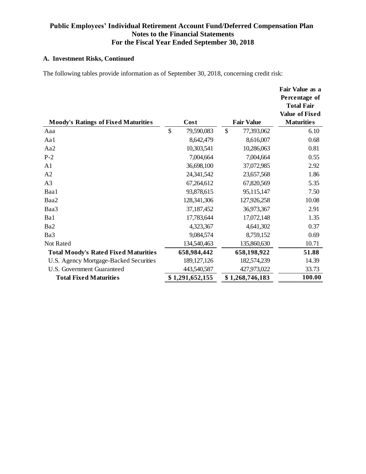# **A. Investment Risks, Continued**

The following tables provide information as of September 30, 2018, concerning credit risk:

|                                             |                  |               |                   | Fair Value as a<br>Percentage of<br><b>Total Fair</b><br><b>Value of Fixed</b> |
|---------------------------------------------|------------------|---------------|-------------------|--------------------------------------------------------------------------------|
| <b>Moody's Ratings of Fixed Maturities</b>  | Cost             |               | <b>Fair Value</b> | <b>Maturities</b>                                                              |
| Aaa                                         | \$<br>79,590,083 | $\mathcal{S}$ | 77,393,062        | 6.10                                                                           |
| Aa1                                         | 8,642,479        |               | 8,616,007         | 0.68                                                                           |
| Aa2                                         | 10,303,541       |               | 10,286,063        | 0.81                                                                           |
| $P-2$                                       | 7,004,664        |               | 7,004,664         | 0.55                                                                           |
| A <sub>1</sub>                              | 36,698,100       |               | 37,072,985        | 2.92                                                                           |
| A2                                          | 24,341,542       |               | 23,657,568        | 1.86                                                                           |
| A <sub>3</sub>                              | 67,264,612       |               | 67,820,569        | 5.35                                                                           |
| Baa1                                        | 93,878,615       |               | 95,115,147        | 7.50                                                                           |
| Baa2                                        | 128, 341, 306    |               | 127,926,258       | 10.08                                                                          |
| Baa3                                        | 37,187,452       |               | 36,973,367        | 2.91                                                                           |
| Ba1                                         | 17,783,644       |               | 17,072,148        | 1.35                                                                           |
| Ba2                                         | 4,323,367        |               | 4,641,302         | 0.37                                                                           |
| Ba3                                         | 9,084,574        |               | 8,759,152         | 0.69                                                                           |
| Not Rated                                   | 134,540,463      |               | 135,860,630       | 10.71                                                                          |
| <b>Total Moody's Rated Fixed Maturities</b> | 658,984,442      |               | 658,198,922       | 51.88                                                                          |
| U.S. Agency Mortgage-Backed Securities      | 189, 127, 126    |               | 182,574,239       | 14.39                                                                          |
| U.S. Government Guaranteed                  | 443,540,587      |               | 427,973,022       | 33.73                                                                          |
| <b>Total Fixed Maturities</b>               | \$1,291,652,155  |               | \$1,268,746,183   | 100.00                                                                         |
|                                             |                  |               |                   |                                                                                |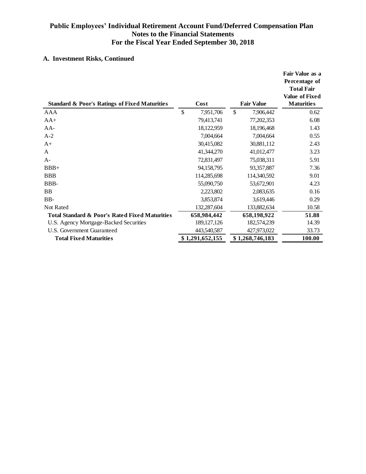# **A. Investment Risks, Continued**

|                                                          |                 |                   | Fair Value as a<br>Percentage of<br><b>Total Fair</b><br><b>Value of Fixed</b> |
|----------------------------------------------------------|-----------------|-------------------|--------------------------------------------------------------------------------|
| <b>Standard &amp; Poor's Ratings of Fixed Maturities</b> | Cost            | <b>Fair Value</b> | <b>Maturities</b>                                                              |
| AAA                                                      | \$<br>7,951,706 | \$<br>7,906,442   | 0.62                                                                           |
| $AA+$                                                    | 79,413,741      | 77,202,353        | 6.08                                                                           |
| $AA-$                                                    | 18,122,959      | 18,196,468        | 1.43                                                                           |
| $A-2$                                                    | 7,004,664       | 7,004,664         | 0.55                                                                           |
| $A+$                                                     | 30,415,082      | 30,881,112        | 2.43                                                                           |
| A                                                        | 41,344,270      | 41,012,477        | 3.23                                                                           |
| $A-$                                                     | 72,831,497      | 75,038,311        | 5.91                                                                           |
| $BBB+$                                                   | 94,158,795      | 93,357,887        | 7.36                                                                           |
| <b>BBB</b>                                               | 114,285,698     | 114,340,592       | 9.01                                                                           |
| BBB-                                                     | 55,090,750      | 53,672,901        | 4.23                                                                           |
| <b>BB</b>                                                | 2,223,802       | 2,083,635         | 0.16                                                                           |
| BB-                                                      | 3,853,874       | 3,619,446         | 0.29                                                                           |
| Not Rated                                                | 132,287,604     | 133,882,634       | 10.58                                                                          |
| Total Standard & Poor's Rated Fixed Maturities           | 658,984,442     | 658,198,922       | 51.88                                                                          |
| U.S. Agency Mortgage-Backed Securities                   | 189, 127, 126   | 182,574,239       | 14.39                                                                          |
| U.S. Government Guaranteed                               | 443,540,587     | 427,973,022       | 33.73                                                                          |
| <b>Total Fixed Maturities</b>                            | \$1,291,652,155 | \$1,268,746,183   | 100.00                                                                         |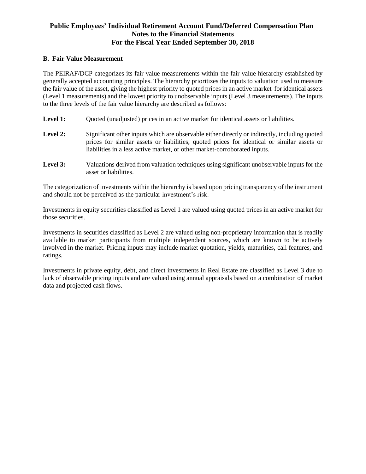#### **B. Fair Value Measurement**

The PEIRAF/DCP categorizes its fair value measurements within the fair value hierarchy established by generally accepted accounting principles. The hierarchy prioritizes the inputs to valuation used to measure the fair value of the asset, giving the highest priority to quoted prices in an active market for identical assets (Level 1 measurements) and the lowest priority to unobservable inputs (Level 3 measurements). The inputs to the three levels of the fair value hierarchy are described as follows:

- Level 1: Ouoted (unadjusted) prices in an active market for identical assets or liabilities.
- Level 2: Significant other inputs which are observable either directly or indirectly, including quoted prices for similar assets or liabilities, quoted prices for identical or similar assets or liabilities in a less active market, or other market-corroborated inputs.
- **Level 3:** Valuations derived from valuation techniques using significant unobservable inputs for the asset or liabilities.

The categorization of investments within the hierarchy is based upon pricing transparency of the instrument and should not be perceived as the particular investment's risk.

Investments in equity securities classified as Level 1 are valued using quoted prices in an active market for those securities.

Investments in securities classified as Level 2 are valued using non-proprietary information that is readily available to market participants from multiple independent sources, which are known to be actively involved in the market. Pricing inputs may include market quotation, yields, maturities, call features, and ratings.

Investments in private equity, debt, and direct investments in Real Estate are classified as Level 3 due to lack of observable pricing inputs and are valued using annual appraisals based on a combination of market data and projected cash flows.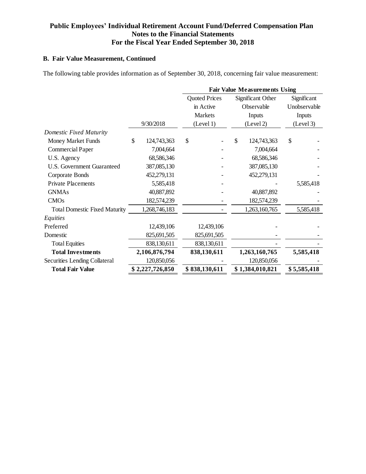# **B. Fair Value Measurement, Continued**

The following table provides information as of September 30, 2018, concerning fair value measurement:

| 9/30/2018<br>124,743,363<br>7,004,664<br>68,586,346<br>387,085,130<br>452,279,131 | <b>Quoted Prices</b><br>in Active<br><b>Markets</b><br>(Level 1)<br>\$ | \$<br>Significant Other<br>Observable<br>Inputs<br>(Level 2)<br>124,743,363<br>7,004,664<br>68,586,346 | Significant<br>Unobservable<br>Inputs<br>(Level 3)<br>\$ |
|-----------------------------------------------------------------------------------|------------------------------------------------------------------------|--------------------------------------------------------------------------------------------------------|----------------------------------------------------------|
|                                                                                   |                                                                        |                                                                                                        |                                                          |
|                                                                                   |                                                                        |                                                                                                        |                                                          |
|                                                                                   |                                                                        |                                                                                                        |                                                          |
|                                                                                   |                                                                        |                                                                                                        |                                                          |
|                                                                                   |                                                                        |                                                                                                        |                                                          |
|                                                                                   |                                                                        |                                                                                                        |                                                          |
|                                                                                   |                                                                        |                                                                                                        |                                                          |
|                                                                                   |                                                                        |                                                                                                        |                                                          |
|                                                                                   |                                                                        | 387,085,130                                                                                            |                                                          |
|                                                                                   |                                                                        | 452,279,131                                                                                            |                                                          |
| 5,585,418                                                                         |                                                                        |                                                                                                        | 5,585,418                                                |
| 40,887,892                                                                        |                                                                        | 40,887,892                                                                                             |                                                          |
| 182,574,239                                                                       |                                                                        | 182,574,239                                                                                            |                                                          |
| 1,268,746,183                                                                     |                                                                        | 1,263,160,765                                                                                          | 5,585,418                                                |
|                                                                                   |                                                                        |                                                                                                        |                                                          |
| 12,439,106                                                                        |                                                                        |                                                                                                        |                                                          |
| 825,691,505                                                                       |                                                                        |                                                                                                        |                                                          |
| 838,130,611                                                                       |                                                                        |                                                                                                        |                                                          |
| 2,106,876,794                                                                     |                                                                        |                                                                                                        | 5,585,418                                                |
| 120,850,056                                                                       |                                                                        | 120,850,056                                                                                            |                                                          |
|                                                                                   |                                                                        |                                                                                                        | \$5,585,418                                              |
|                                                                                   | \$2,227,726,850                                                        | 12,439,106<br>825,691,505<br>838,130,611<br>838,130,611<br>\$838,130,611                               | 1,263,160,765<br>\$1,384,010,821                         |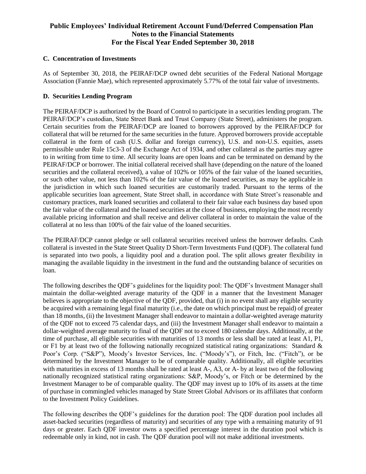### **C. Concentration of Investments**

As of September 30, 2018, the PEIRAF/DCP owned debt securities of the Federal National Mortgage Association (Fannie Mae), which represented approximately 5.77% of the total fair value of investments.

### **D. Securities Lending Program**

The PEIRAF/DCP is authorized by the Board of Control to participate in a securities lending program. The PEIRAF/DCP's custodian, State Street Bank and Trust Company (State Street), administers the program. Certain securities from the PEIRAF/DCP are loaned to borrowers approved by the PEIRAF/DCP for collateral that will be returned for the same securities in the future. Approved borrowers provide acceptable collateral in the form of cash (U.S. dollar and foreign currency), U.S. and non-U.S. equities, assets permissible under Rule 15c3-3 of the Exchange Act of 1934, and other collateral as the parties may agree to in writing from time to time. All security loans are open loans and can be terminated on demand by the PEIRAF/DCP or borrower. The initial collateral received shall have (depending on the nature of the loaned securities and the collateral received), a value of 102% or 105% of the fair value of the loaned securities, or such other value, not less than 102% of the fair value of the loaned securities, as may be applicable in the jurisdiction in which such loaned securities are customarily traded. Pursuant to the terms of the applicable securities loan agreement, State Street shall, in accordance with State Street's reasonable and customary practices, mark loaned securities and collateral to their fair value each business day based upon the fair value of the collateral and the loaned securities at the close of business, employing the most recently available pricing information and shall receive and deliver collateral in order to maintain the value of the collateral at no less than 100% of the fair value of the loaned securities.

The PEIRAF/DCP cannot pledge or sell collateral securities received unless the borrower defaults. Cash collateral is invested in the State Street Quality D Short-Term Investments Fund (QDF). The collateral fund is separated into two pools, a liquidity pool and a duration pool. The split allows greater flexibility in managing the available liquidity in the investment in the fund and the outstanding balance of securities on loan.

The following describes the QDF's guidelines for the liquidity pool: The QDF's Investment Manager shall maintain the dollar-weighted average maturity of the QDF in a manner that the Investment Manager believes is appropriate to the objective of the QDF, provided, that (i) in no event shall any eligible security be acquired with a remaining legal final maturity (i.e., the date on which principal must be repaid) of greater than 18 months, (ii) the Investment Manager shall endeavor to maintain a dollar-weighted average maturity of the QDF not to exceed 75 calendar days, and (iii) the Investment Manager shall endeavor to maintain a dollar-weighted average maturity to final of the QDF not to exceed 180 calendar days. Additionally, at the time of purchase, all eligible securities with maturities of 13 months or less shall be rated at least A1, P1, or F1 by at least two of the following nationally recognized statistical rating organizations: Standard  $\&$ Poor's Corp. ("S&P"), Moody's Investor Services, Inc. ("Moody's"), or Fitch, Inc. ("Fitch"), or be determined by the Investment Manager to be of comparable quality. Additionally, all eligible securities with maturities in excess of 13 months shall be rated at least A-, A3, or A- by at least two of the following nationally recognized statistical rating organizations: S&P, Moody's, or Fitch or be determined by the Investment Manager to be of comparable quality. The QDF may invest up to 10% of its assets at the time of purchase in commingled vehicles managed by State Street Global Advisors or its affiliates that conform to the Investment Policy Guidelines.

The following describes the QDF's guidelines for the duration pool: The QDF duration pool includes all asset-backed securities (regardless of maturity) and securities of any type with a remaining maturity of 91 days or greater. Each QDF investor owns a specified percentage interest in the duration pool which is redeemable only in kind, not in cash. The QDF duration pool will not make additional investments.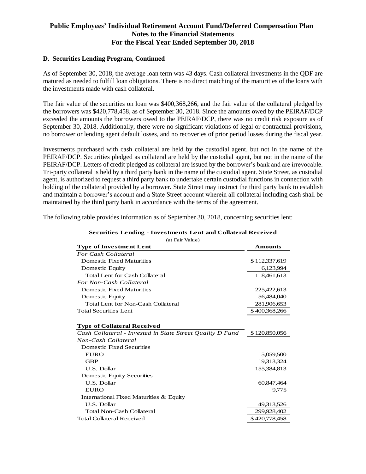#### **D. Securities Lending Program, Continued**

As of September 30, 2018, the average loan term was 43 days. Cash collateral investments in the QDF are matured as needed to fulfill loan obligations. There is no direct matching of the maturities of the loans with the investments made with cash collateral.

The fair value of the securities on loan was \$400,368,266, and the fair value of the collateral pledged by the borrowers was \$420,778,458, as of September 30, 2018. Since the amounts owed by the PEIRAF/DCP exceeded the amounts the borrowers owed to the PEIRAF/DCP, there was no credit risk exposure as of September 30, 2018. Additionally, there were no significant violations of legal or contractual provisions, no borrower or lending agent default losses, and no recoveries of prior period losses during the fiscal year.

Investments purchased with cash collateral are held by the custodial agent, but not in the name of the PEIRAF/DCP. Securities pledged as collateral are held by the custodial agent, but not in the name of the PEIRAF/DCP. Letters of credit pledged as collateral are issued by the borrower's bank and are irrevocable. Tri-party collateral is held by a third party bank in the name of the custodial agent. State Street, as custodial agent, is authorized to request a third party bank to undertake certain custodial functions in connection with holding of the collateral provided by a borrower. State Street may instruct the third party bank to establish and maintain a borrower's account and a State Street account wherein all collateral including cash shall be maintained by the third party bank in accordance with the terms of the agreement.

The following table provides information as of September 30, 2018, concerning securities lent:

| <b>Type of Investment Lent</b><br><b>Amounts</b><br><b>For Cash Collateral</b><br><b>Domestic Fixed Maturities</b><br>\$112,337,619<br>Domestic Equity<br>6,123,994<br><b>Total Lent for Cash Collateral</b><br>118,461,613<br>For Non-Cash Collateral<br><b>Domestic Fixed Maturities</b><br>225,422,613<br>56,484,040<br>Domestic Equity<br>Total Lent for Non-Cash Collateral<br>281,906,653<br><b>Total Securities Lent</b><br>\$400,368,266<br><b>Type of Collateral Received</b><br>Cash Collateral - Invested in State Street Quality D Fund<br>\$120,850,056<br>Non-Cash Collateral<br><b>Domestic Fixed Securities</b><br><b>EURO</b><br>15,059,500<br><b>GBP</b><br>19,313,324<br>U.S. Dollar<br>155,384,813<br>Domestic Equity Securities | (at I all value) |  |
|------------------------------------------------------------------------------------------------------------------------------------------------------------------------------------------------------------------------------------------------------------------------------------------------------------------------------------------------------------------------------------------------------------------------------------------------------------------------------------------------------------------------------------------------------------------------------------------------------------------------------------------------------------------------------------------------------------------------------------------------------|------------------|--|
|                                                                                                                                                                                                                                                                                                                                                                                                                                                                                                                                                                                                                                                                                                                                                      |                  |  |
|                                                                                                                                                                                                                                                                                                                                                                                                                                                                                                                                                                                                                                                                                                                                                      |                  |  |
|                                                                                                                                                                                                                                                                                                                                                                                                                                                                                                                                                                                                                                                                                                                                                      |                  |  |
|                                                                                                                                                                                                                                                                                                                                                                                                                                                                                                                                                                                                                                                                                                                                                      |                  |  |
|                                                                                                                                                                                                                                                                                                                                                                                                                                                                                                                                                                                                                                                                                                                                                      |                  |  |
|                                                                                                                                                                                                                                                                                                                                                                                                                                                                                                                                                                                                                                                                                                                                                      |                  |  |
|                                                                                                                                                                                                                                                                                                                                                                                                                                                                                                                                                                                                                                                                                                                                                      |                  |  |
|                                                                                                                                                                                                                                                                                                                                                                                                                                                                                                                                                                                                                                                                                                                                                      |                  |  |
|                                                                                                                                                                                                                                                                                                                                                                                                                                                                                                                                                                                                                                                                                                                                                      |                  |  |
|                                                                                                                                                                                                                                                                                                                                                                                                                                                                                                                                                                                                                                                                                                                                                      |                  |  |
|                                                                                                                                                                                                                                                                                                                                                                                                                                                                                                                                                                                                                                                                                                                                                      |                  |  |
|                                                                                                                                                                                                                                                                                                                                                                                                                                                                                                                                                                                                                                                                                                                                                      |                  |  |
|                                                                                                                                                                                                                                                                                                                                                                                                                                                                                                                                                                                                                                                                                                                                                      |                  |  |
|                                                                                                                                                                                                                                                                                                                                                                                                                                                                                                                                                                                                                                                                                                                                                      |                  |  |
|                                                                                                                                                                                                                                                                                                                                                                                                                                                                                                                                                                                                                                                                                                                                                      |                  |  |
|                                                                                                                                                                                                                                                                                                                                                                                                                                                                                                                                                                                                                                                                                                                                                      |                  |  |
|                                                                                                                                                                                                                                                                                                                                                                                                                                                                                                                                                                                                                                                                                                                                                      |                  |  |
|                                                                                                                                                                                                                                                                                                                                                                                                                                                                                                                                                                                                                                                                                                                                                      |                  |  |
|                                                                                                                                                                                                                                                                                                                                                                                                                                                                                                                                                                                                                                                                                                                                                      |                  |  |
| U.S. Dollar<br>60,847,464                                                                                                                                                                                                                                                                                                                                                                                                                                                                                                                                                                                                                                                                                                                            |                  |  |
| <b>EURO</b><br>9,775                                                                                                                                                                                                                                                                                                                                                                                                                                                                                                                                                                                                                                                                                                                                 |                  |  |
| International Fixed Maturities & Equity                                                                                                                                                                                                                                                                                                                                                                                                                                                                                                                                                                                                                                                                                                              |                  |  |
| U.S. Dollar<br>49,313,526                                                                                                                                                                                                                                                                                                                                                                                                                                                                                                                                                                                                                                                                                                                            |                  |  |
| Total Non-Cash Collateral<br>299,928,402                                                                                                                                                                                                                                                                                                                                                                                                                                                                                                                                                                                                                                                                                                             |                  |  |
| <b>Total Collateral Received</b><br>\$420,778,458                                                                                                                                                                                                                                                                                                                                                                                                                                                                                                                                                                                                                                                                                                    |                  |  |

# **Securities Lending - Investments Lent and Collateral Received**

(at Fair Value)